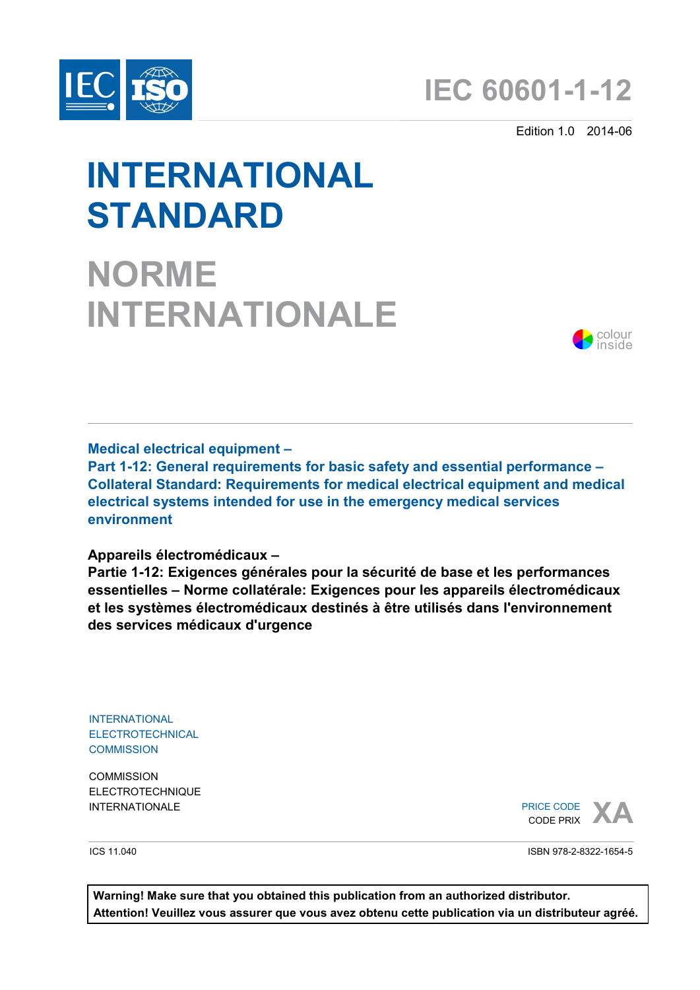



Edition 1.0 2014-06

# **INTERNATIONAL STANDARD**

# **NORME INTERNATIONALE**



**Medical electrical equipment –**

**Part 1-12: General requirements for basic safety and essential performance – Collateral Standard: Requirements for medical electrical equipment and medical electrical systems intended for use in the emergency medical services environment**

# **Appareils électromédicaux –**

**Partie 1-12: Exigences générales pour la sécurité de base et les performances essentielles – Norme collatérale: Exigences pour les appareils électromédicaux et les systèmes électromédicaux destinés à être utilisés dans l'environnement des services médicaux d'urgence**

INTERNATIONAL **ELECTROTECHNICAL COMMISSION** 

**COMMISSION** ELECTROTECHNIQUE



ICS 11.040

ISBN 978-2-8322-1654-5

**Warning! Make sure that you obtained this publication from an authorized distributor. Attention! Veuillez vous assurer que vous avez obtenu cette publication via un distributeur agréé.**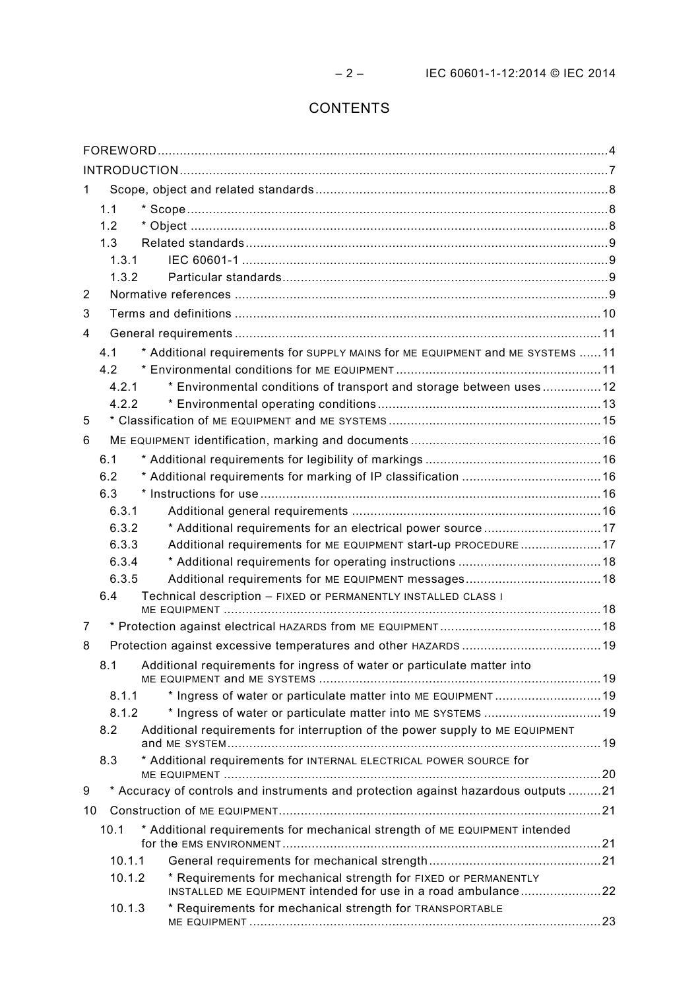# **CONTENTS**

| 1  |                                                                                                                                            |  |
|----|--------------------------------------------------------------------------------------------------------------------------------------------|--|
|    | 1.1                                                                                                                                        |  |
|    | 1.2                                                                                                                                        |  |
|    | 1.3                                                                                                                                        |  |
|    | 1.3.1                                                                                                                                      |  |
|    | 1.3.2                                                                                                                                      |  |
| 2  |                                                                                                                                            |  |
| 3  |                                                                                                                                            |  |
| 4  |                                                                                                                                            |  |
|    | * Additional requirements for SUPPLY MAINS for ME EQUIPMENT and ME SYSTEMS  11<br>4.1                                                      |  |
|    | 4.2                                                                                                                                        |  |
|    | * Environmental conditions of transport and storage between uses 12<br>4.2.1                                                               |  |
|    | 4.2.2                                                                                                                                      |  |
| 5  |                                                                                                                                            |  |
| 6  |                                                                                                                                            |  |
|    | 6.1                                                                                                                                        |  |
|    | 6.2                                                                                                                                        |  |
|    | 6.3                                                                                                                                        |  |
|    | 6.3.1                                                                                                                                      |  |
|    | 6.3.2<br>* Additional requirements for an electrical power source  17                                                                      |  |
|    | 6.3.3<br>Additional requirements for ME EQUIPMENT start-up PROCEDURE  17<br>6.3.4                                                          |  |
|    | 6.3.5                                                                                                                                      |  |
|    | Technical description - FIXED or PERMANENTLY INSTALLED CLASS I<br>6.4                                                                      |  |
|    |                                                                                                                                            |  |
| 7  |                                                                                                                                            |  |
| 8  |                                                                                                                                            |  |
|    | Additional requirements for ingress of water or particulate matter into<br>8.1                                                             |  |
|    | * Ingress of water or particulate matter into ME EQUIPMENT 19<br>8.1.1                                                                     |  |
|    | 8.1.2<br>* Ingress of water or particulate matter into ME SYSTEMS 19                                                                       |  |
|    | Additional requirements for interruption of the power supply to ME EQUIPMENT<br>8.2                                                        |  |
|    |                                                                                                                                            |  |
|    | * Additional requirements for INTERNAL ELECTRICAL POWER SOURCE for<br>8.3                                                                  |  |
| 9  | * Accuracy of controls and instruments and protection against hazardous outputs 21                                                         |  |
| 10 |                                                                                                                                            |  |
|    | * Additional requirements for mechanical strength of ME EQUIPMENT intended<br>10.1                                                         |  |
|    | 10.1.1                                                                                                                                     |  |
|    | 10.1.2<br>* Requirements for mechanical strength for FIXED or PERMANENTLY<br>INSTALLED ME EQUIPMENT intended for use in a road ambulance22 |  |
|    | 10.1.3<br>* Requirements for mechanical strength for TRANSPORTABLE                                                                         |  |
|    |                                                                                                                                            |  |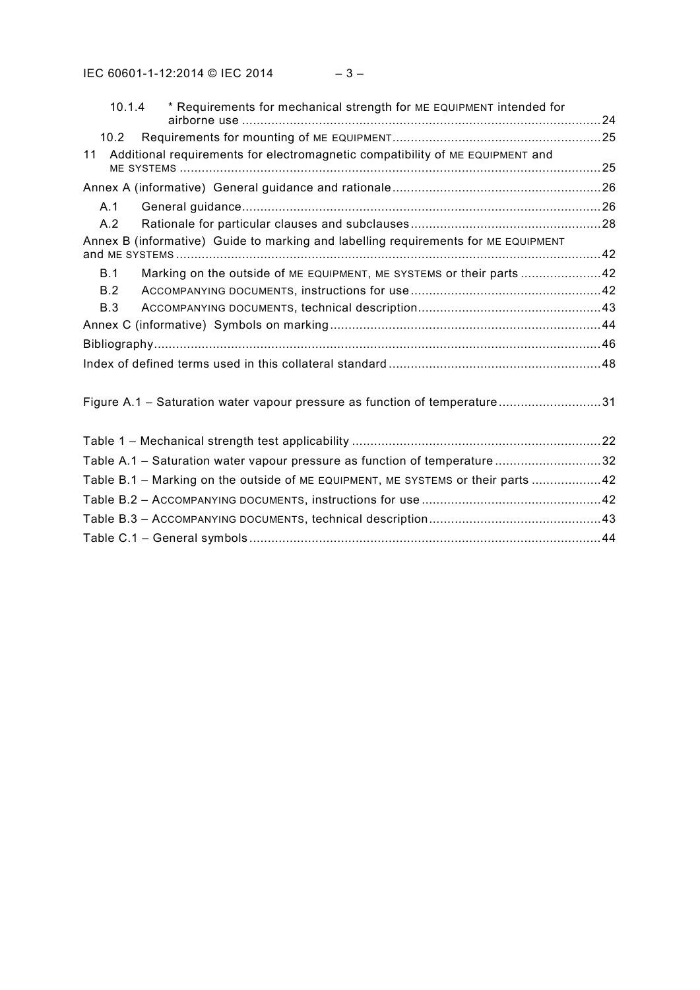IEC 60601-1-12:2014 © IEC 2014 – 3-

| 10.1.4<br>* Requirements for mechanical strength for ME EQUIPMENT intended for      |  |  |
|-------------------------------------------------------------------------------------|--|--|
| 10.2                                                                                |  |  |
| Additional requirements for electromagnetic compatibility of ME EQUIPMENT and<br>11 |  |  |
|                                                                                     |  |  |
| A.1                                                                                 |  |  |
| A.2                                                                                 |  |  |
| Annex B (informative) Guide to marking and labelling requirements for ME EQUIPMENT  |  |  |
| Marking on the outside of ME EQUIPMENT, ME SYSTEMS or their parts 42<br>B.1         |  |  |
| B.2                                                                                 |  |  |
| B.3                                                                                 |  |  |
|                                                                                     |  |  |
|                                                                                     |  |  |
|                                                                                     |  |  |
| Figure A.1 - Saturation water vapour pressure as function of temperature31          |  |  |
|                                                                                     |  |  |
| Table A.1 - Saturation water vapour pressure as function of temperature32           |  |  |
| Table B.1 - Marking on the outside of ME EQUIPMENT, ME SYSTEMS or their parts 42    |  |  |
|                                                                                     |  |  |
|                                                                                     |  |  |
|                                                                                     |  |  |
|                                                                                     |  |  |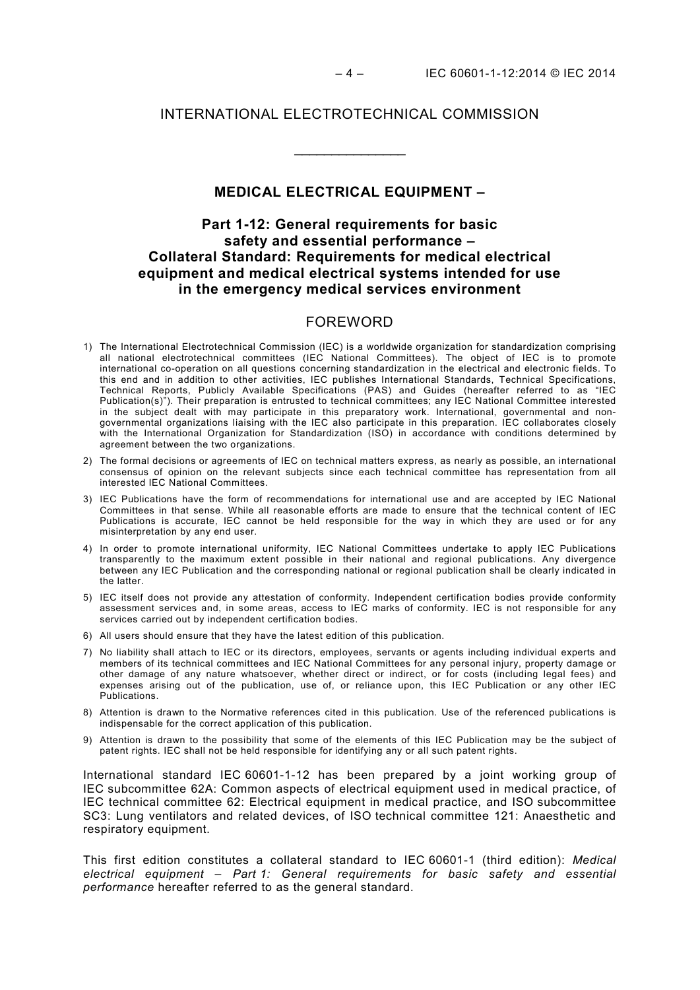# INTERNATIONAL ELECTROTECHNICAL COMMISSION

\_\_\_\_\_\_\_\_\_\_\_\_\_\_\_

## **MEDICAL ELECTRICAL EQUIPMENT –**

# **Part 1-12: General requirements for basic safety and essential performance – Collateral Standard: Requirements for medical electrical equipment and medical electrical systems intended for use in the emergency medical services environment**

## FOREWORD

- <span id="page-3-0"></span>1) The International Electrotechnical Commission (IEC) is a worldwide organization for standardization comprising all national electrotechnical committees (IEC National Committees). The object of IEC is to promote international co-operation on all questions concerning standardization in the electrical and electronic fields. To this end and in addition to other activities, IEC publishes International Standards, Technical Specifications, Technical Reports, Publicly Available Specifications (PAS) and Guides (hereafter referred to as "IEC Publication(s)"). Their preparation is entrusted to technical committees; any IEC National Committee interested in the subject dealt with may participate in this preparatory work. International, governmental and nongovernmental organizations liaising with the IEC also participate in this preparation. IEC collaborates closely with the International Organization for Standardization (ISO) in accordance with conditions determined by agreement between the two organizations.
- 2) The formal decisions or agreements of IEC on technical matters express, as nearly as possible, an international consensus of opinion on the relevant subjects since each technical committee has representation from all interested IEC National Committees.
- 3) IEC Publications have the form of recommendations for international use and are accepted by IEC National Committees in that sense. While all reasonable efforts are made to ensure that the technical content of IEC Publications is accurate, IEC cannot be held responsible for the way in which they are used or for any misinterpretation by any end user.
- 4) In order to promote international uniformity, IEC National Committees undertake to apply IEC Publications transparently to the maximum extent possible in their national and regional publications. Any divergence between any IEC Publication and the corresponding national or regional publication shall be clearly indicated in the latter.
- 5) IEC itself does not provide any attestation of conformity. Independent certification bodies provide conformity assessment services and, in some areas, access to IEC marks of conformity. IEC is not responsible for any services carried out by independent certification bodies.
- 6) All users should ensure that they have the latest edition of this publication.
- 7) No liability shall attach to IEC or its directors, employees, servants or agents including individual experts and members of its technical committees and IEC National Committees for any personal injury, property damage or other damage of any nature whatsoever, whether direct or indirect, or for costs (including legal fees) and expenses arising out of the publication, use of, or reliance upon, this IEC Publication or any other IEC Publications.
- 8) Attention is drawn to the Normative references cited in this publication. Use of the referenced publications is indispensable for the correct application of this publication.
- 9) Attention is drawn to the possibility that some of the elements of this IEC Publication may be the subject of patent rights. IEC shall not be held responsible for identifying any or all such patent rights.

International standard IEC 60601-1-12 has been prepared by a joint working group of IEC subcommittee 62A: Common aspects of electrical equipment used in medical practice, of IEC technical committee 62: Electrical equipment in medical practice, and ISO subcommittee SC3: Lung ventilators and related devices, of ISO technical committee 121: Anaesthetic and respiratory equipment.

This first edition constitutes a collateral standard to IEC 60601-1 (third edition): *Medical electrical equipment – Part 1: General requirements for basic safety and essential performance* hereafter referred to as the general standard.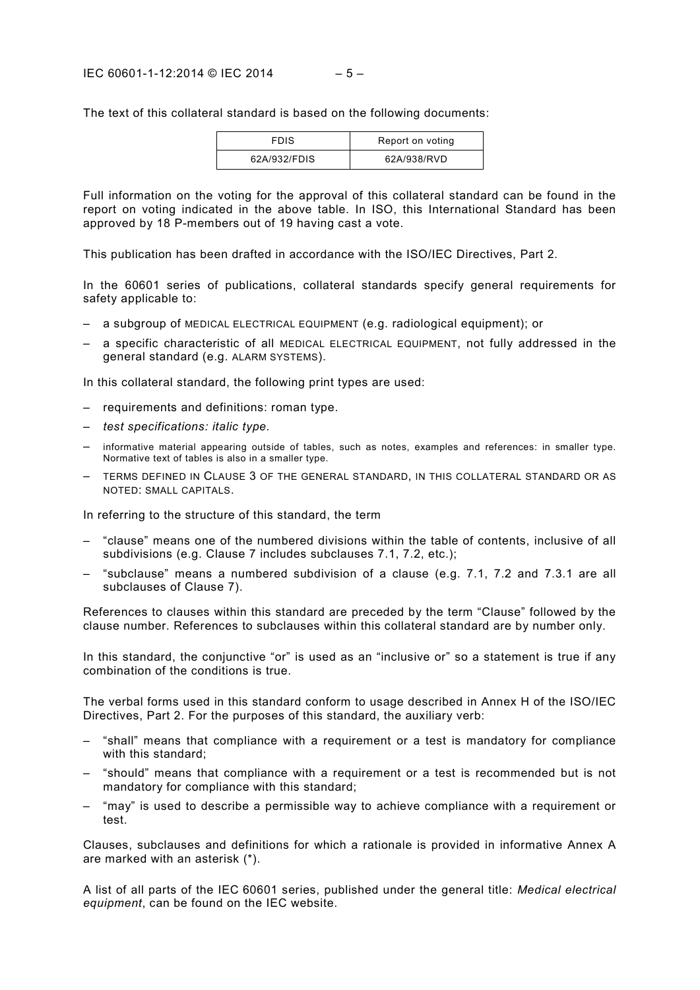The text of this collateral standard is based on the following documents:

| <b>FDIS</b>  | Report on voting |
|--------------|------------------|
| 62A/932/FDIS | 62A/938/RVD      |

Full information on the voting for the approval of this collateral standard can be found in the report on voting indicated in the above table. In ISO, this International Standard has been approved by 18 P-members out of 19 having cast a vote.

This publication has been drafted in accordance with the ISO/IEC Directives, Part 2.

In the 60601 series of publications, collateral standards specify general requirements for safety applicable to:

- a subgroup of MEDICAL ELECTRICAL EQUIPMENT (e.g. radiological equipment); or
- a specific characteristic of all MEDICAL ELECTRICAL EQUIPMENT, not fully addressed in the general standard (e.g. ALARM SYSTEMS).

In this collateral standard, the following print types are used:

- requirements and definitions: roman type.
- *test specifications: italic type.*
- informative material appearing outside of tables, such as notes, examples and references: in smaller type. Normative text of tables is also in a smaller type.
- TERMS DEFINED IN CLAUSE 3 OF THE GENERAL STANDARD, IN THIS COLLATERAL STANDARD OR AS NOTED: SMALL CAPITALS.

In referring to the structure of this standard, the term

- "clause" means one of the numbered divisions within the table of contents, inclusive of all subdivisions (e.g. Clause 7 includes subclauses 7.1, 7.2, etc.);
- "subclause" means a numbered subdivision of a clause (e.g. 7.1, 7.2 and 7.3.1 are all subclauses of Clause 7).

References to clauses within this standard are preceded by the term "Clause" followed by the clause number. References to subclauses within this collateral standard are by number only.

In this standard, the conjunctive "or" is used as an "inclusive or" so a statement is true if any combination of the conditions is true.

The verbal forms used in this standard conform to usage described in Annex H of the ISO/IEC Directives, Part 2. For the purposes of this standard, the auxiliary verb:

- "shall" means that compliance with a requirement or a test is mandatory for compliance with this standard;
- "should" means that compliance with a requirement or a test is recommended but is not mandatory for compliance with this standard;
- "may" is used to describe a permissible way to achieve compliance with a requirement or test.

Clauses, subclauses and definitions for which a rationale is provided in informative Annex A are marked with an asterisk (\*).

A list of all parts of the IEC 60601 series, published under the general title: *Medical electrical equipment*, can be found on the IEC website.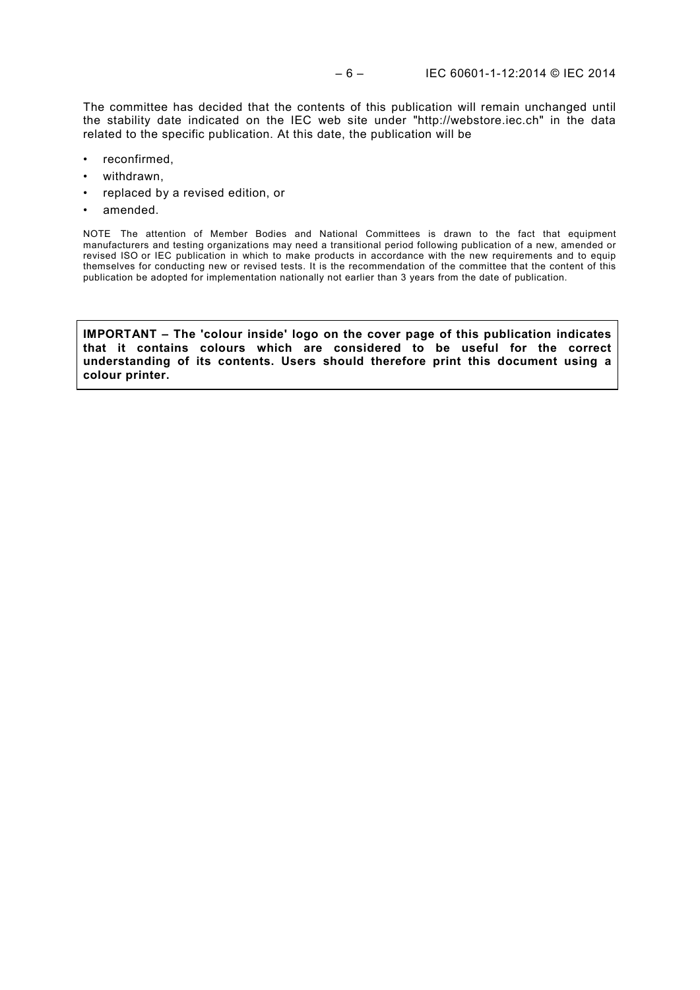The committee has decided that the contents of this publication will remain unchanged until the stability date indicated on the IEC web site under "http://webstore.iec.ch" in the data related to the specific publication. At this date, the publication will be

- reconfirmed,
- withdrawn.
- replaced by a revised edition, or
- amended.

NOTE The attention of Member Bodies and National Committees is drawn to the fact that equipment manufacturers and testing organizations may need a transitional period following publication of a new, amended or revised ISO or IEC publication in which to make products in accordance with the new requirements and to equip themselves for conducting new or revised tests. It is the recommendation of the committee that the content of this publication be adopted for implementation nationally not earlier than 3 years from the date of publication.

**IMPORTANT – The 'colour inside' logo on the cover page of this publication indicates that it contains colours which are considered to be useful for the correct understanding of its contents. Users should therefore print this document using a colour printer.**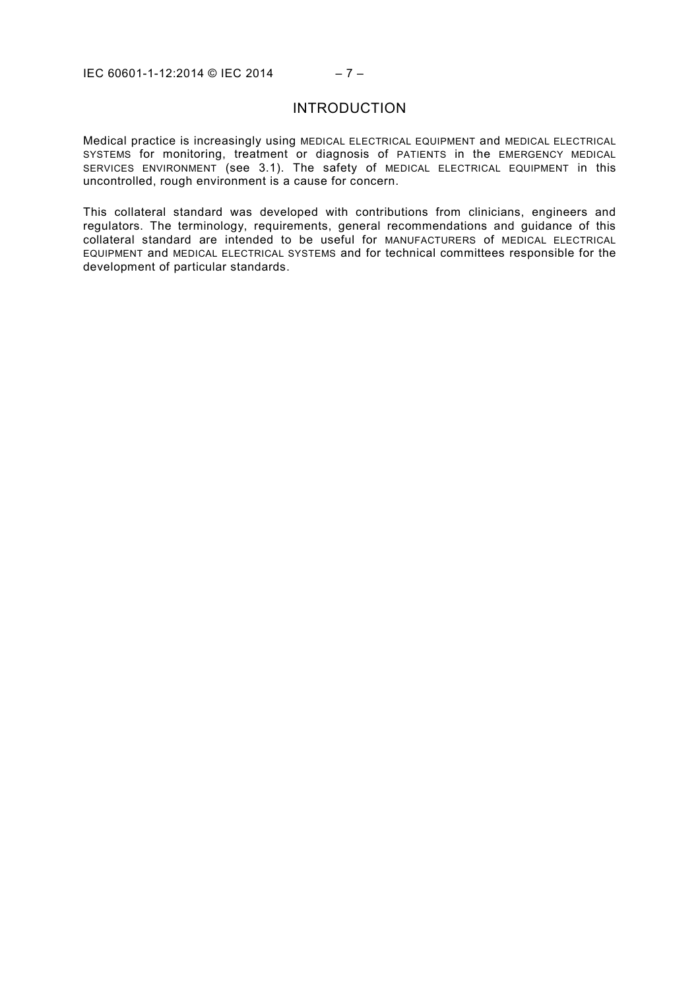## INTRODUCTION

<span id="page-6-0"></span>Medical practice is increasingly using MEDICAL ELECTRICAL EQUIPMENT and MEDICAL ELECTRICAL SYSTEMS for monitoring, treatment or diagnosis of PATIENTS in the EMERGENCY MEDICAL SERVICES ENVIRONMENT (see 3.1). The safety of MEDICAL ELECTRICAL EQUIPMENT in this uncontrolled, rough environment is a cause for concern.

This collateral standard was developed with contributions from clinicians, engineers and regulators. The terminology, requirements, general recommendations and guidance of this collateral standard are intended to be useful for MANUFACTURERS of MEDICAL ELECTRICAL EQUIPMENT and MEDICAL ELECTRICAL SYSTEMS and for technical committees responsible for the development of particular standards.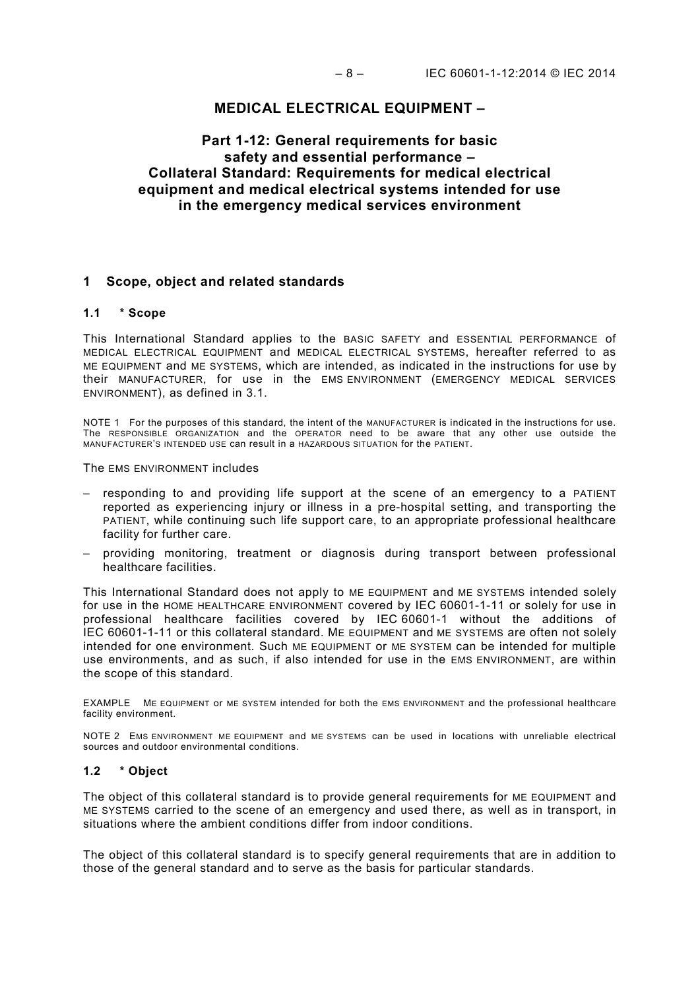## **MEDICAL ELECTRICAL EQUIPMENT –**

# **Part 1-12: General requirements for basic safety and essential performance – Collateral Standard: Requirements for medical electrical equipment and medical electrical systems intended for use in the emergency medical services environment**

## <span id="page-7-0"></span>**1 Scope, object and related standards**

#### <span id="page-7-1"></span>**1.1 \* Scope**

This International Standard applies to the BASIC SAFETY and ESSENTIAL PERFORMANCE of MEDICAL ELECTRICAL EQUIPMENT and MEDICAL ELECTRICAL SYSTEMS, hereafter referred to as ME EQUIPMENT and ME SYSTEMS, which are intended, as indicated in the instructions for use by their MANUFACTURER, for use in the EMS ENVIRONMENT (EMERGENCY MEDICAL SERVICES ENVIRONMENT), as defined in 3.1.

NOTE 1 For the purposes of this standard, the intent of the MANUFACTURER is indicated in the instructions for use. The RESPONSIBLE ORGANIZATION and the OPERATOR need to be aware that any other use outside the MANUFACTURER'S INTENDED USE can result in a HAZARDOUS SITUATION for the PATIENT.

The EMS ENVIRONMENT includes

- responding to and providing life support at the scene of an emergency to a PATIENT reported as experiencing injury or illness in a pre-hospital setting, and transporting the PATIENT, while continuing such life support care, to an appropriate professional healthcare facility for further care.
- providing monitoring, treatment or diagnosis during transport between professional healthcare facilities.

This International Standard does not apply to ME EQUIPMENT and ME SYSTEMS intended solely for use in the HOME HEALTHCARE ENVIRONMENT covered by IEC 60601-1-11 or solely for use in professional healthcare facilities covered by IEC 60601-1 without the additions of IEC 60601-1-11 or this collateral standard. ME EQUIPMENT and ME SYSTEMS are often not solely intended for one environment. Such ME EQUIPMENT or ME SYSTEM can be intended for multiple use environments, and as such, if also intended for use in the EMS ENVIRONMENT, are within the scope of this standard.

EXAMPLE ME EQUIPMENT or ME SYSTEM intended for both the EMS ENVIRONMENT and the professional healthcare facility environment.

NOTE 2 EMS ENVIRONMENT ME EQUIPMENT and ME SYSTEMS can be used in locations with unreliable electrical sources and outdoor environmental conditions.

### <span id="page-7-2"></span>**1.2 \* Object**

The object of this collateral standard is to provide general requirements for ME EQUIPMENT and ME SYSTEMS carried to the scene of an emergency and used there, as well as in transport, in situations where the ambient conditions differ from indoor conditions.

The object of this collateral standard is to specify general requirements that are in addition to those of the general standard and to serve as the basis for particular standards.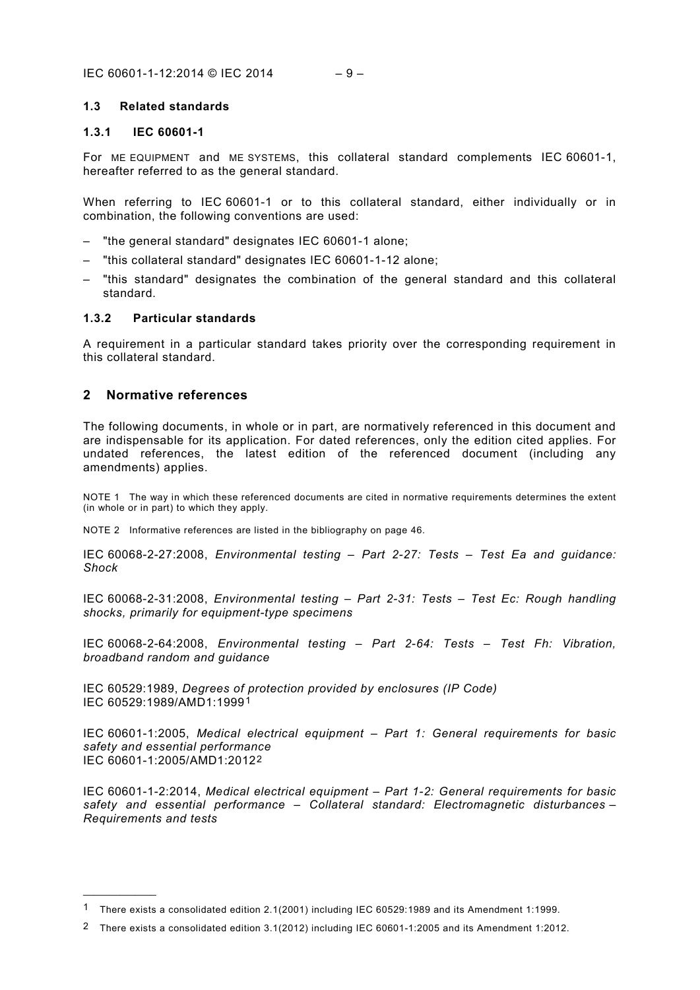IEC 60601-1-12:2014 © IEC 2014  $-9-$ 

## <span id="page-8-0"></span>**1.3 Related standards**

## <span id="page-8-1"></span>**1.3.1 IEC 60601-1**

For ME EQUIPMENT and ME SYSTEMS, this collateral standard complements IEC 60601-1, hereafter referred to as the general standard.

When referring to IEC 60601-1 or to this collateral standard, either individually or in combination, the following conventions are used:

- "the general standard" designates IEC 60601-1 alone;
- "this collateral standard" designates IEC 60601-1-12 alone;
- "this standard" designates the combination of the general standard and this collateral standard.

## <span id="page-8-2"></span>**1.3.2 Particular standards**

A requirement in a particular standard takes priority over the corresponding requirement in this collateral standard.

## <span id="page-8-3"></span>**2 Normative references**

 $\mathcal{L}$  , we have the set of the set of the set of the set of the set of the set of the set of the set of the set of the set of the set of the set of the set of the set of the set of the set of the set of the set of the

The following documents, in whole or in part, are normatively referenced in this document and are indispensable for its application. For dated references, only the edition cited applies. For undated references, the latest edition of the referenced document (including any amendments) applies.

NOTE 1 The way in which these referenced documents are cited in normative requirements determines the extent (in whole or in part) to which they apply.

NOTE 2 Informative references are listed in the bibliography on page 46.

IEC 60068-2-27:2008, *Environmental testing – Part 2-27: Tests – Test Ea and guidance: Shock*

IEC 60068-2-31:2008, *Environmental testing – Part 2-31: Tests – Test Ec: Rough handling shocks, primarily for equipment-type specimens*

IEC 60068-2-64:2008, *Environmental testing – Part 2-64: Tests – Test Fh: Vibration, broadband random and guidance*

IEC 60529:1989, *Degrees of protection provided by enclosures (IP Code)* IEC 60529:1989/AMD1:1999[1](#page-8-4)

IEC 60601-1:2005, *Medical electrical equipment – Part 1: General requirements for basic safety and essential performance* IEC 60601-1:2005/AMD1:2012[2](#page-8-5)

IEC 60601-1-2:2014, *Medical electrical equipment – Part 1-2: General requirements for basic safety and essential performance – Collateral standard: Electromagnetic disturbances – Requirements and tests*

<span id="page-8-4"></span><sup>1</sup> There exists a consolidated edition 2.1(2001) including IEC 60529:1989 and its Amendment 1:1999.

<span id="page-8-5"></span><sup>2</sup> There exists a consolidated edition 3.1(2012) including IEC 60601-1:2005 and its Amendment 1:2012.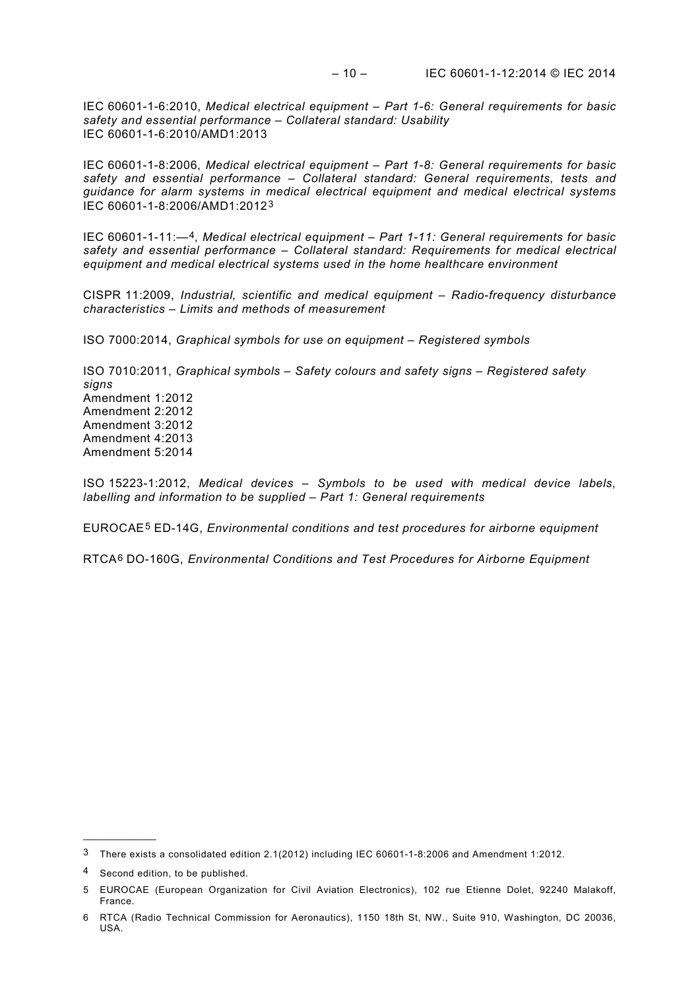IEC 60601-1-6:2010, *Medical electrical equipment – Part 1-6: General requirements for basic safety and essential performance – Collateral standard: Usability* IEC 60601-1-6:2010/AMD1:2013

IEC 60601-1-8:2006, *Medical electrical equipment – Part 1-8: General requirements for basic safety and essential performance – Collateral standard: General requirements, tests and guidance for alarm systems in medical electrical equipment and medical electrical systems* IEC 60601-1-8:2006/AMD1:2012[3](#page-9-1)

IEC 60601-1-11:—[4,](#page-9-2) *Medical electrical equipment – Part 1-11: General requirements for basic safety and essential performance – Collateral standard: Requirements for medical electrical equipment and medical electrical systems used in the home healthcare environment*

CISPR 11:2009, *Industrial, scientific and medical equipment – Radio-frequency disturbance characteristics – Limits and methods of measurement*

ISO 7000:2014, *Graphical symbols for use on equipment – Registered symbols*

ISO 7010:2011, *Graphical symbols – Safety colours and safety signs – Registered safety signs* Amendment 1:2012 Amendment 2:2012 Amendment 3:2012 Amendment 4:2013 Amendment 5:2014

ISO 15223-1:2012, *Medical devices – Symbols to be used with medical device labels, labelling and information to be supplied – Part 1: General requirements*

EUROCAE[5](#page-9-3) ED-14G, *Environmental conditions and test procedures for airborne equipment*

<span id="page-9-0"></span>RTCA[6](#page-9-4) DO-160G, *Environmental Conditions and Test Procedures for Airborne Equipment*

\_\_\_\_\_\_\_\_\_\_\_\_\_\_

<span id="page-9-1"></span><sup>3</sup> There exists a consolidated edition 2.1(2012) including IEC 60601-1-8:2006 and Amendment 1:2012.

<span id="page-9-2"></span><sup>4</sup> Second edition, to be published.

<span id="page-9-3"></span><sup>5</sup> EUROCAE (European Organization for Civil Aviation Electronics), 102 rue Etienne Dolet, 92240 Malakoff, France.

<span id="page-9-4"></span><sup>6</sup> RTCA (Radio Technical Commission for Aeronautics), 1150 18th St, NW., Suite 910, Washington, DC 20036, USA.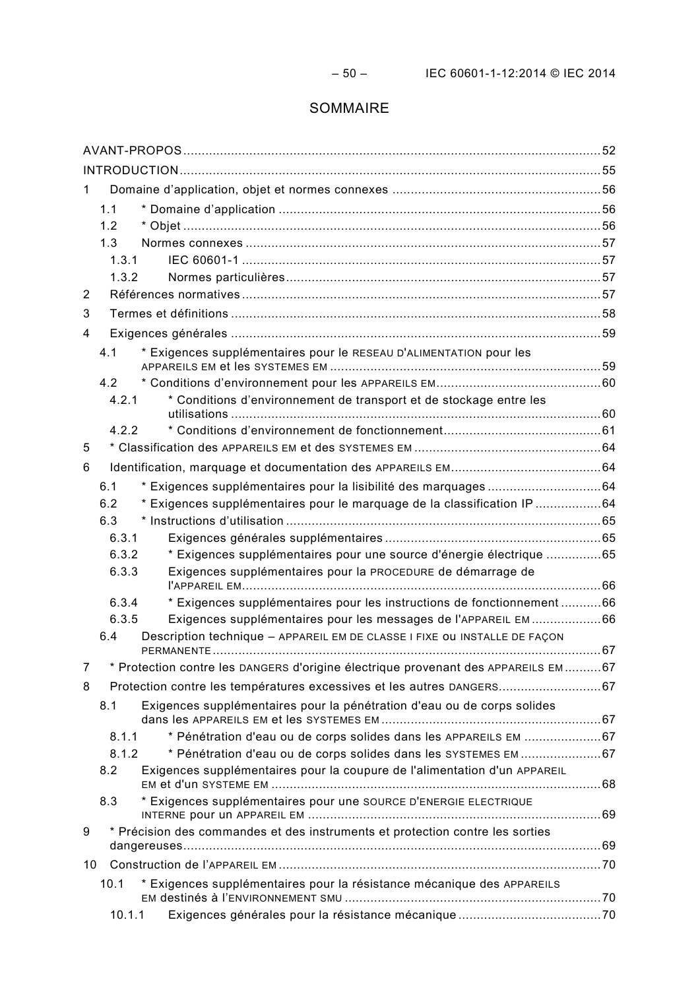# SOMMAIRE

| 1.             |        |                                                                                    |  |  |  |
|----------------|--------|------------------------------------------------------------------------------------|--|--|--|
|                | 1.1    |                                                                                    |  |  |  |
|                | 1.2    |                                                                                    |  |  |  |
|                | 1.3    |                                                                                    |  |  |  |
|                | 1.3.1  |                                                                                    |  |  |  |
|                | 1.3.2  |                                                                                    |  |  |  |
| $\overline{2}$ |        |                                                                                    |  |  |  |
| 3              |        |                                                                                    |  |  |  |
| 4              |        |                                                                                    |  |  |  |
|                | 4.1    | * Exigences supplémentaires pour le RESEAU D'ALIMENTATION pour les                 |  |  |  |
|                | 4.2    |                                                                                    |  |  |  |
|                | 4.2.1  | * Conditions d'environnement de transport et de stockage entre les                 |  |  |  |
|                | 4.2.2  |                                                                                    |  |  |  |
| 5              |        |                                                                                    |  |  |  |
| 6              |        |                                                                                    |  |  |  |
|                | 6.1    | * Exigences supplémentaires pour la lisibilité des marquages 64                    |  |  |  |
|                | 6.2    | * Exigences supplémentaires pour le marquage de la classification IP 64            |  |  |  |
|                | 6.3    |                                                                                    |  |  |  |
|                | 6.3.1  |                                                                                    |  |  |  |
|                | 6.3.2  | * Exigences supplémentaires pour une source d'énergie électrique 65                |  |  |  |
|                | 6.3.3  | Exigences supplémentaires pour la PROCEDURE de démarrage de                        |  |  |  |
|                | 6.3.4  | * Exigences supplémentaires pour les instructions de fonctionnement 66             |  |  |  |
|                | 6.3.5  | Exigences supplémentaires pour les messages de l'APPAREIL EM66                     |  |  |  |
|                | 6.4    | Description technique - APPAREIL EM DE CLASSE I FIXE OU INSTALLE DE FAÇON          |  |  |  |
|                |        | * Protection contre les DANGERS d'origine électrique provenant des APPAREILS EM 67 |  |  |  |
| 8              |        | Protection contre les températures excessives et les autres DANGERS 67             |  |  |  |
|                | 8.1    | Exigences supplémentaires pour la pénétration d'eau ou de corps solides            |  |  |  |
|                | 8.1.1  | * Pénétration d'eau ou de corps solides dans les APPAREILS EM 67                   |  |  |  |
|                | 8.1.2  | * Pénétration d'eau ou de corps solides dans les SYSTEMES EM67                     |  |  |  |
|                | 8.2    | Exigences supplémentaires pour la coupure de l'alimentation d'un APPAREIL          |  |  |  |
|                | 8.3    | * Exigences supplémentaires pour une SOURCE D'ENERGIE ELECTRIQUE                   |  |  |  |
| 9              |        | * Précision des commandes et des instruments et protection contre les sorties      |  |  |  |
| 10             |        |                                                                                    |  |  |  |
|                | 10.1   | * Exigences supplémentaires pour la résistance mécanique des APPAREILS             |  |  |  |
|                | 10.1.1 |                                                                                    |  |  |  |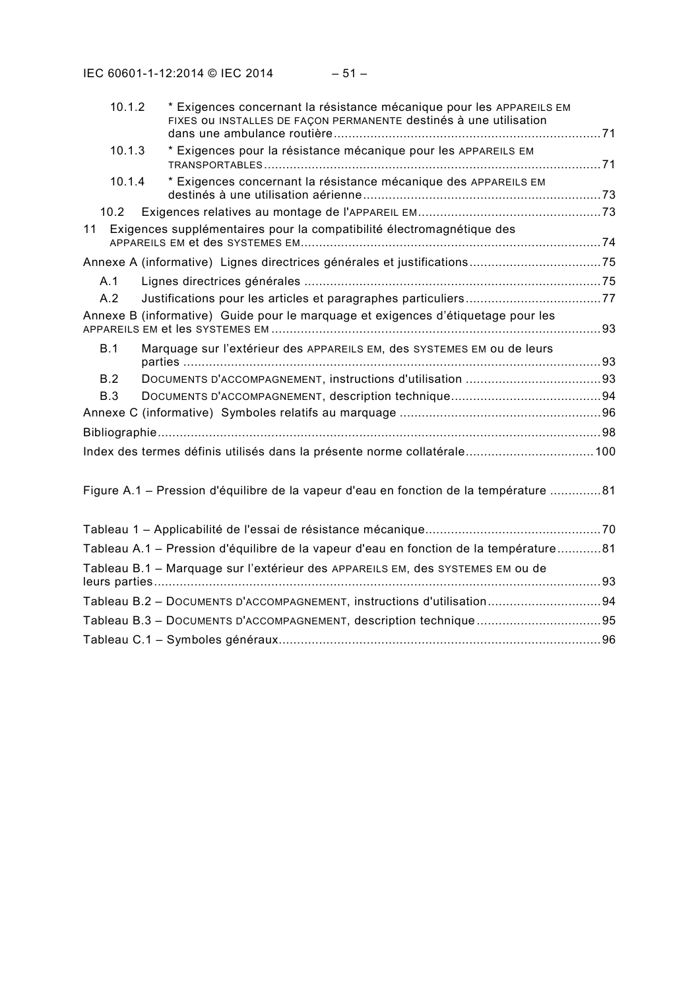IEC 60601-1-12:2014 © IEC 2014 – 51 –

| 10.1.2 | * Exigences concernant la résistance mécanique pour les APPAREILS EM<br>FIXES OU INSTALLES DE FAÇON PERMANENTE destinés à une utilisation |  |
|--------|-------------------------------------------------------------------------------------------------------------------------------------------|--|
| 10.1.3 | * Exigences pour la résistance mécanique pour les APPAREILS EM                                                                            |  |
| 10.1.4 | * Exigences concernant la résistance mécanique des APPAREILS EM                                                                           |  |
| 10.2   |                                                                                                                                           |  |
|        | 11 Exigences supplémentaires pour la compatibilité électromagnétique des                                                                  |  |
|        | Annexe A (informative) Lignes directrices générales et justifications75                                                                   |  |
| A.1    |                                                                                                                                           |  |
| A.2    |                                                                                                                                           |  |
|        | Annexe B (informative) Guide pour le marquage et exigences d'étiquetage pour les                                                          |  |
| B.1    | Marquage sur l'extérieur des APPAREILS EM, des SYSTEMES EM ou de leurs                                                                    |  |
|        |                                                                                                                                           |  |
| B.2    |                                                                                                                                           |  |
| B.3    |                                                                                                                                           |  |
|        |                                                                                                                                           |  |
|        |                                                                                                                                           |  |
|        |                                                                                                                                           |  |
|        | Figure A.1 – Pression d'équilibre de la vapeur d'eau en fonction de la température 81                                                     |  |
|        |                                                                                                                                           |  |
|        | Tableau A.1 – Pression d'équilibre de la vapeur d'eau en fonction de la température81                                                     |  |
|        | Tableau B.1 - Marquage sur l'extérieur des APPAREILS EM, des SYSTEMES EM ou de                                                            |  |
|        | Tableau B.2 - DOCUMENTS D'ACCOMPAGNEMENT, instructions d'utilisation94                                                                    |  |
|        | Tableau B.3 - DOCUMENTS D'ACCOMPAGNEMENT, description technique95                                                                         |  |
|        |                                                                                                                                           |  |
|        |                                                                                                                                           |  |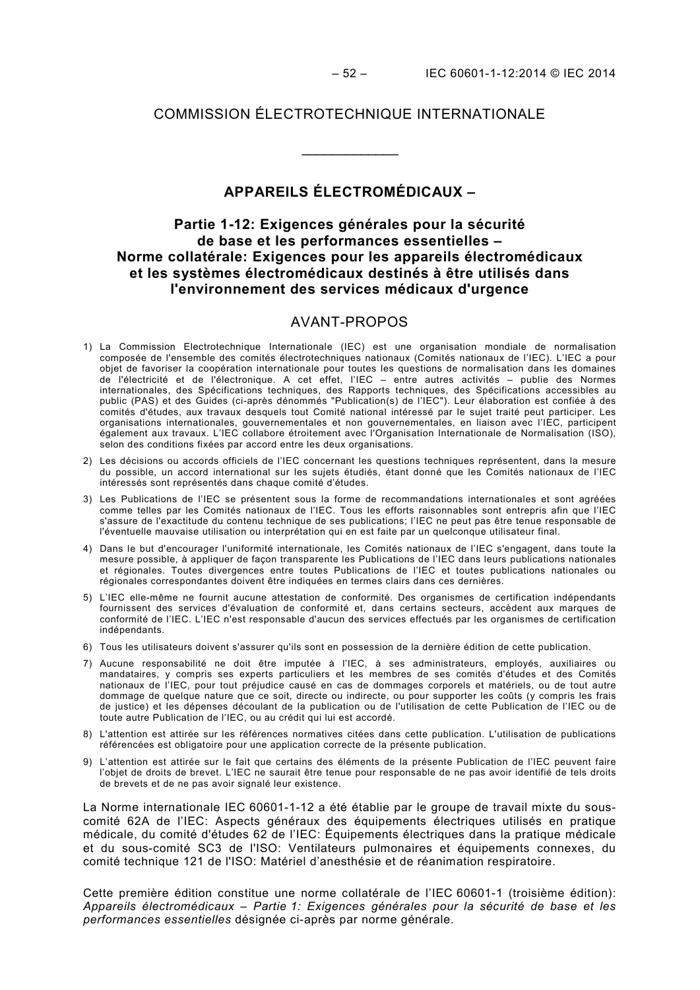# COMMISSION ÉLECTROTECHNIQUE INTERNATIONALE

\_\_\_\_\_\_\_\_\_\_\_\_\_

# **APPAREILS ÉLECTROMÉDICAUX –**

# **Partie 1-12: Exigences générales pour la sécurité de base et les performances essentielles – Norme collatérale: Exigences pour les appareils électromédicaux et les systèmes électromédicaux destinés à être utilisés dans l'environnement des services médicaux d'urgence**

## AVANT-PROPOS

- <span id="page-12-0"></span>1) La Commission Electrotechnique Internationale (IEC) est une organisation mondiale de normalisation composée de l'ensemble des comités électrotechniques nationaux (Comités nationaux de l'IEC). L'IEC a pour objet de favoriser la coopération internationale pour toutes les questions de normalisation dans les domaines de l'électricité et de l'électronique. A cet effet, l'IEC – entre autres activités – publie des Normes internationales, des Spécifications techniques, des Rapports techniques, des Spécifications accessibles au public (PAS) et des Guides (ci-après dénommés "Publication(s) de l'IEC"). Leur élaboration est confiée à des comités d'études, aux travaux desquels tout Comité national intéressé par le sujet traité peut participer. Les organisations internationales, gouvernementales et non gouvernementales, en liaison avec l'IEC, participent également aux travaux. L'IEC collabore étroitement avec l'Organisation Internationale de Normalisation (ISO), selon des conditions fixées par accord entre les deux organisations.
- 2) Les décisions ou accords officiels de l'IEC concernant les questions techniques représentent, dans la mesure du possible, un accord international sur les sujets étudiés, étant donné que les Comités nationaux de l'IEC intéressés sont représentés dans chaque comité d'études.
- 3) Les Publications de l'IEC se présentent sous la forme de recommandations internationales et sont agréées comme telles par les Comités nationaux de l'IEC. Tous les efforts raisonnables sont entrepris afin que l'IEC s'assure de l'exactitude du contenu technique de ses publications; l'IEC ne peut pas être tenue responsable de l'éventuelle mauvaise utilisation ou interprétation qui en est faite par un quelconque utilisateur final.
- 4) Dans le but d'encourager l'uniformité internationale, les Comités nationaux de l'IEC s'engagent, dans toute la mesure possible, à appliquer de façon transparente les Publications de l'IEC dans leurs publications nationales et régionales. Toutes divergences entre toutes Publications de l'IEC et toutes publications nationales ou régionales correspondantes doivent être indiquées en termes clairs dans ces dernières.
- 5) L'IEC elle-même ne fournit aucune attestation de conformité. Des organismes de certification indépendants fournissent des services d'évaluation de conformité et, dans certains secteurs, accèdent aux marques de conformité de l'IEC. L'IEC n'est responsable d'aucun des services effectués par les organismes de certification indépendants.
- 6) Tous les utilisateurs doivent s'assurer qu'ils sont en possession de la dernière édition de cette publication.
- 7) Aucune responsabilité ne doit être imputée à l'IEC, à ses administrateurs, employés, auxiliaires ou mandataires, y compris ses experts particuliers et les membres de ses comités d'études et des Comités nationaux de l'IEC, pour tout préjudice causé en cas de dommages corporels et matériels, ou de tout autre dommage de quelque nature que ce soit, directe ou indirecte, ou pour supporter les coûts (y compris les frais de justice) et les dépenses découlant de la publication ou de l'utilisation de cette Publication de l'IEC ou de toute autre Publication de l'IEC, ou au crédit qui lui est accordé.
- 8) L'attention est attirée sur les références normatives citées dans cette publication. L'utilisation de publications référencées est obligatoire pour une application correcte de la présente publication.
- 9) L'attention est attirée sur le fait que certains des éléments de la présente Publication de l'IEC peuvent faire l'objet de droits de brevet. L'IEC ne saurait être tenue pour responsable de ne pas avoir identifié de tels droits de brevets et de ne pas avoir signalé leur existence.

La Norme internationale IEC 60601-1-12 a été établie par le groupe de travail mixte du souscomité 62A de l'IEC: Aspects généraux des équipements électriques utilisés en pratique médicale, du comité d'études 62 de l'IEC: Équipements électriques dans la pratique médicale et du sous-comité SC3 de l'ISO: Ventilateurs pulmonaires et équipements connexes, du comité technique 121 de l'ISO: Matériel d'anesthésie et de réanimation respiratoire.

Cette première édition constitue une norme collatérale de l'IEC 60601-1 (troisième édition): *Appareils électromédicaux – Partie 1: Exigences générales pour la sécurité de base et les performances essentielles* désignée ci-après par norme générale.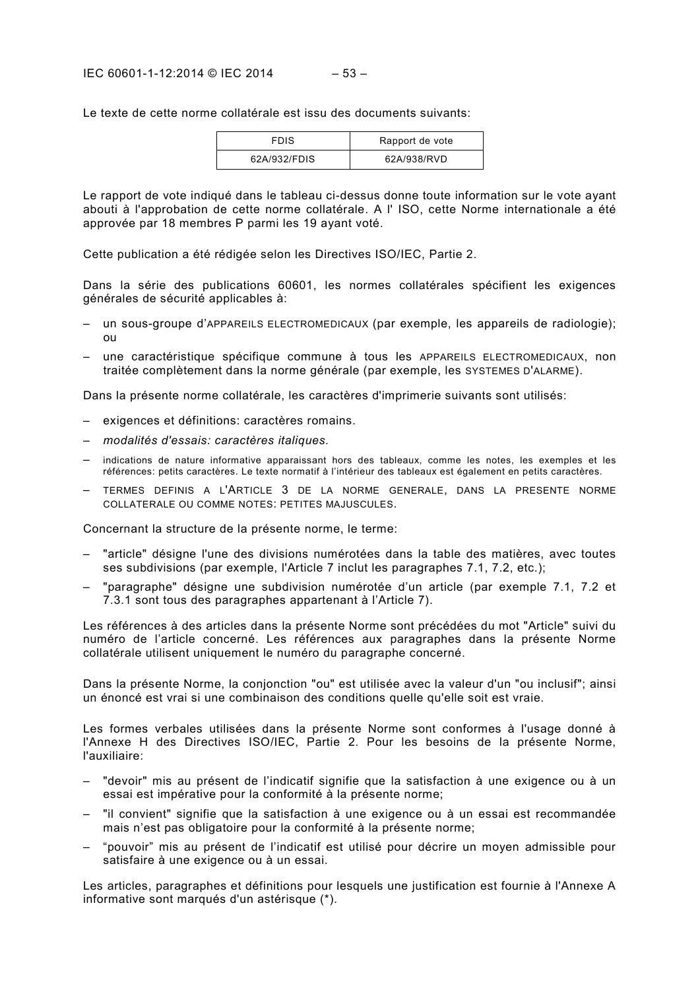Le texte de cette norme collatérale est issu des documents suivants:

| <b>FDIS</b>  | Rapport de vote |
|--------------|-----------------|
| 62A/932/FDIS | 62A/938/RVD     |

Le rapport de vote indiqué dans le tableau ci-dessus donne toute information sur le vote ayant abouti à l'approbation de cette norme collatérale. A l' ISO, cette Norme internationale a été approvée par 18 membres P parmi les 19 ayant voté.

Cette publication a été rédigée selon les Directives ISO/IEC, Partie 2.

Dans la série des publications 60601, les normes collatérales spécifient les exigences générales de sécurité applicables à:

- un sous-groupe d'APPAREILS ELECTROMEDICAUX (par exemple, les appareils de radiologie); ou
- une caractéristique spécifique commune à tous les APPAREILS ELECTROMEDICAUX, non traitée complètement dans la norme générale (par exemple, les SYSTEMES D'ALARME).

Dans la présente norme collatérale, les caractères d'imprimerie suivants sont utilisés:

- exigences et définitions: caractères romains.
- *modalités d'essais: caractères italiques.*
- indications de nature informative apparaissant hors des tableaux, comme les notes, les exemples et les références: petits caractères. Le texte normatif à l'intérieur des tableaux est également en petits caractères.
- TERMES DEFINIS A L'ARTICLE 3 DE LA NORME GENERALE, DANS LA PRESENTE NORME COLLATERALE OU COMME NOTES: PETITES MAJUSCULES.

Concernant la structure de la présente norme, le terme:

- "article" désigne l'une des divisions numérotées dans la table des matières, avec toutes ses subdivisions (par exemple, l'Article 7 inclut les paragraphes 7.1, 7.2, etc.);
- "paragraphe" désigne une subdivision numérotée d'un article (par exemple 7.1, 7.2 et 7.3.1 sont tous des paragraphes appartenant à l'Article 7).

Les références à des articles dans la présente Norme sont précédées du mot "Article" suivi du numéro de l'article concerné. Les références aux paragraphes dans la présente Norme collatérale utilisent uniquement le numéro du paragraphe concerné.

Dans la présente Norme, la conjonction "ou" est utilisée avec la valeur d'un "ou inclusif"; ainsi un énoncé est vrai si une combinaison des conditions quelle qu'elle soit est vraie.

Les formes verbales utilisées dans la présente Norme sont conformes à l'usage donné à l'Annexe H des Directives ISO/IEC, Partie 2. Pour les besoins de la présente Norme, l'auxiliaire:

- "devoir" mis au présent de l'indicatif signifie que la satisfaction à une exigence ou à un essai est impérative pour la conformité à la présente norme;
- "il convient" signifie que la satisfaction à une exigence ou à un essai est recommandée mais n'est pas obligatoire pour la conformité à la présente norme;
- "pouvoir" mis au présent de l'indicatif est utilisé pour décrire un moyen admissible pour satisfaire à une exigence ou à un essai.

Les articles, paragraphes et définitions pour lesquels une justification est fournie à l'Annexe A informative sont marqués d'un astérisque (\*).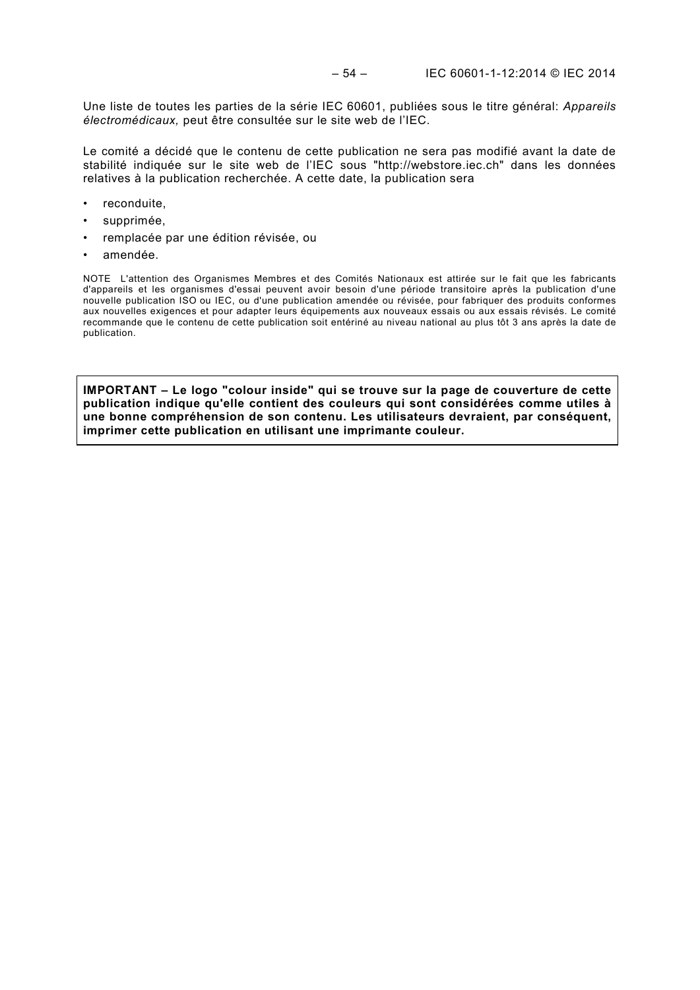Une liste de toutes les parties de la série IEC 60601, publiées sous le titre général: *Appareils électromédicaux,* peut être consultée sur le site web de l'IEC.

Le comité a décidé que le contenu de cette publication ne sera pas modifié avant la date de stabilité indiquée sur le site web de l'IEC sous "http://webstore.iec.ch" dans les données relatives à la publication recherchée. A cette date, la publication sera

- reconduite,
- supprimée,
- remplacée par une édition révisée, ou
- amendée.

NOTE L'attention des Organismes Membres et des Comités Nationaux est attirée sur le fait que les fabricants d'appareils et les organismes d'essai peuvent avoir besoin d'une période transitoire après la publication d'une nouvelle publication ISO ou IEC, ou d'une publication amendée ou révisée, pour fabriquer des produits conformes aux nouvelles exigences et pour adapter leurs équipements aux nouveaux essais ou aux essais révisés. Le comité recommande que le contenu de cette publication soit entériné au niveau national au plus tôt 3 ans après la date de publication.

**IMPORTANT – Le logo "colour inside" qui se trouve sur la page de couverture de cette publication indique qu'elle contient des couleurs qui sont considérées comme utiles à une bonne compréhension de son contenu. Les utilisateurs devraient, par conséquent, imprimer cette publication en utilisant une imprimante couleur.**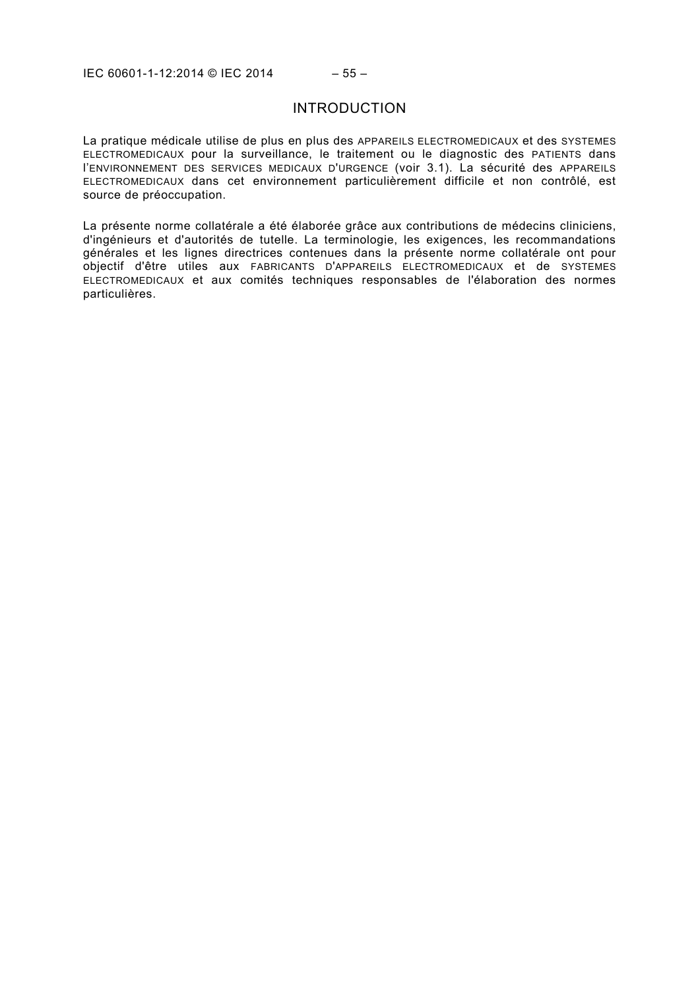## INTRODUCTION

<span id="page-15-0"></span>La pratique médicale utilise de plus en plus des APPAREILS ELECTROMEDICAUX et des SYSTEMES ELECTROMEDICAUX pour la surveillance, le traitement ou le diagnostic des PATIENTS dans l'ENVIRONNEMENT DES SERVICES MEDICAUX D'URGENCE (voir 3.1). La sécurité des APPAREILS ELECTROMEDICAUX dans cet environnement particulièrement difficile et non contrôlé, est source de préoccupation.

La présente norme collatérale a été élaborée grâce aux contributions de médecins cliniciens, d'ingénieurs et d'autorités de tutelle. La terminologie, les exigences, les recommandations générales et les lignes directrices contenues dans la présente norme collatérale ont pour objectif d'être utiles aux FABRICANTS D'APPAREILS ELECTROMEDICAUX et de SYSTEMES ELECTROMEDICAUX et aux comités techniques responsables de l'élaboration des normes particulières.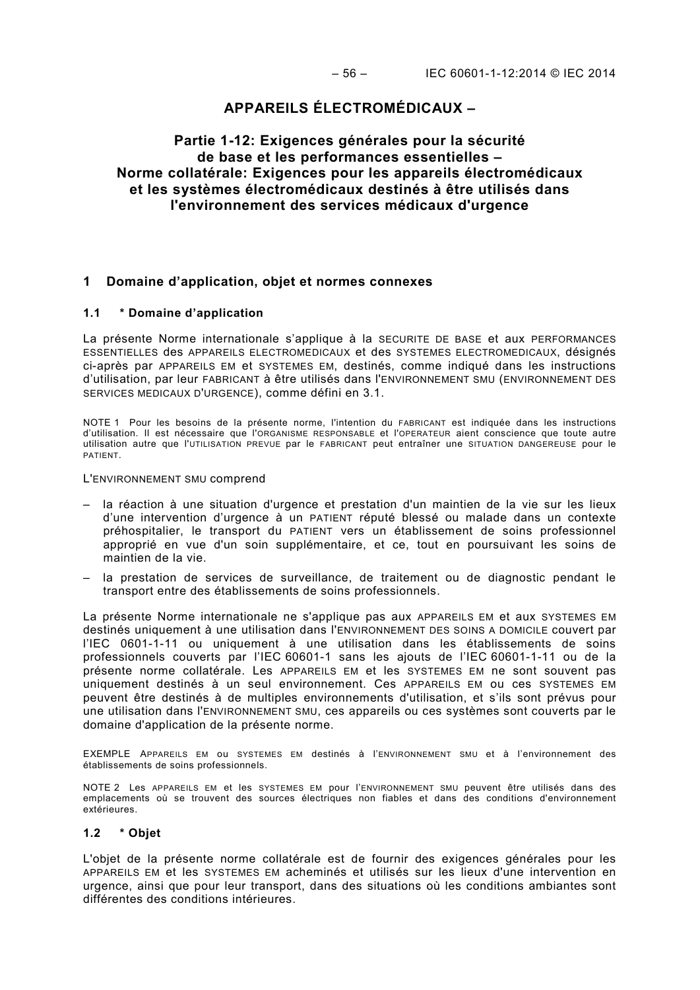# **APPAREILS ÉLECTROMÉDICAUX –**

# **Partie 1-12: Exigences générales pour la sécurité de base et les performances essentielles – Norme collatérale: Exigences pour les appareils électromédicaux et les systèmes électromédicaux destinés à être utilisés dans l'environnement des services médicaux d'urgence**

## <span id="page-16-0"></span>**1 Domaine d'application, objet et normes connexes**

#### <span id="page-16-1"></span>**1.1 \* Domaine d'application**

La présente Norme internationale s'applique à la SECURITE DE BASE et aux PERFORMANCES ESSENTIELLES des APPAREILS ELECTROMEDICAUX et des SYSTEMES ELECTROMEDICAUX, désignés ci-après par APPAREILS EM et SYSTEMES EM, destinés, comme indiqué dans les instructions d'utilisation, par leur FABRICANT à être utilisés dans l'ENVIRONNEMENT SMU (ENVIRONNEMENT DES SERVICES MEDICAUX D'URGENCE), comme défini en 3.1.

NOTE 1 Pour les besoins de la présente norme, l'intention du FABRICANT est indiquée dans les instructions d'utilisation. Il est nécessaire que l'ORGANISME RESPONSABLE et l'OPERATEUR aient conscience que toute autre utilisation autre que l'UTILISATION PREVUE par le FABRICANT peut entraîner une SITUATION DANGEREUSE pour le PATIENT.

L'ENVIRONNEMENT SMU comprend

- la réaction à une situation d'urgence et prestation d'un maintien de la vie sur les lieux d'une intervention d'urgence à un PATIENT réputé blessé ou malade dans un contexte préhospitalier, le transport du PATIENT vers un établissement de soins professionnel approprié en vue d'un soin supplémentaire, et ce, tout en poursuivant les soins de maintien de la vie.
- la prestation de services de surveillance, de traitement ou de diagnostic pendant le transport entre des établissements de soins professionnels.

La présente Norme internationale ne s'applique pas aux APPAREILS EM et aux SYSTEMES EM destinés uniquement à une utilisation dans l'ENVIRONNEMENT DES SOINS A DOMICILE couvert par l'IEC 0601-1-11 ou uniquement à une utilisation dans les établissements de soins professionnels couverts par l'IEC 60601-1 sans les ajouts de l'IEC 60601-1-11 ou de la présente norme collatérale. Les APPAREILS EM et les SYSTEMES EM ne sont souvent pas uniquement destinés à un seul environnement. Ces APPAREILS EM ou ces SYSTEMES EM peuvent être destinés à de multiples environnements d'utilisation, et s'ils sont prévus pour une utilisation dans l'ENVIRONNEMENT SMU, ces appareils ou ces systèmes sont couverts par le domaine d'application de la présente norme.

EXEMPLE APPAREILS EM ou SYSTEMES EM destinés à l'ENVIRONNEMENT SMU et à l'environnement des établissements de soins professionnels.

NOTE 2 Les APPAREILS EM et les SYSTEMES EM pour l'ENVIRONNEMENT SMU peuvent être utilisés dans des emplacements où se trouvent des sources électriques non fiables et dans des conditions d'environnement extérieures.

### <span id="page-16-2"></span>**1.2 \* Objet**

L'objet de la présente norme collatérale est de fournir des exigences générales pour les APPAREILS EM et les SYSTEMES EM acheminés et utilisés sur les lieux d'une intervention en urgence, ainsi que pour leur transport, dans des situations où les conditions ambiantes sont différentes des conditions intérieures.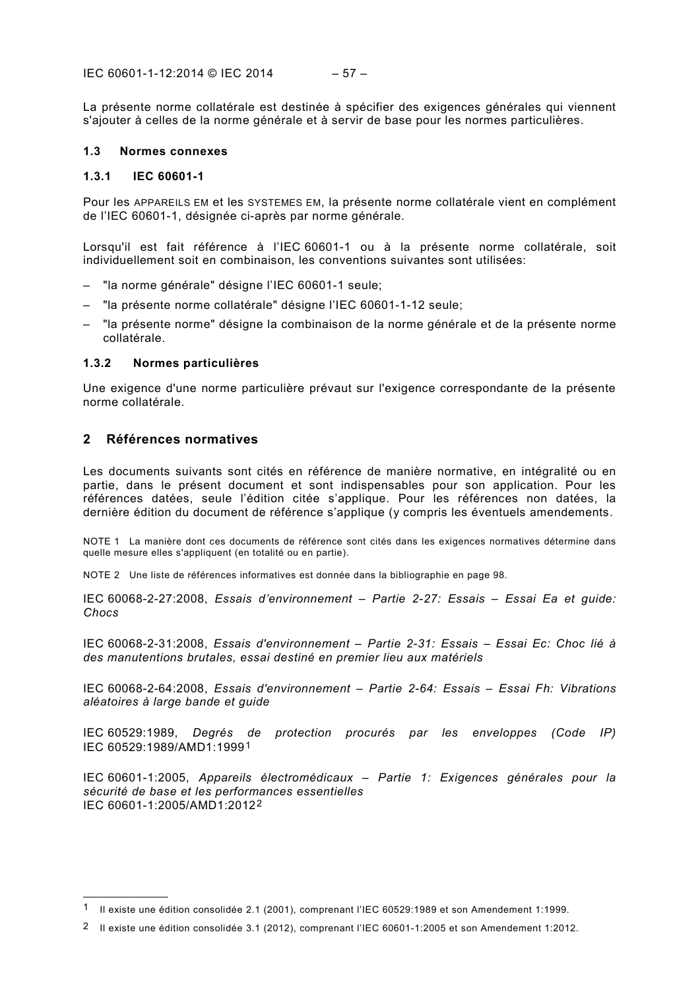La présente norme collatérale est destinée à spécifier des exigences générales qui viennent s'ajouter à celles de la norme générale et à servir de base pour les normes particulières.

## <span id="page-17-0"></span>**1.3 Normes connexes**

## <span id="page-17-1"></span>**1.3.1 IEC 60601-1**

Pour les APPAREILS EM et les SYSTEMES EM, la présente norme collatérale vient en complément de l'IEC 60601-1, désignée ci-après par norme générale.

Lorsqu'il est fait référence à l'IEC 60601-1 ou à la présente norme collatérale, soit individuellement soit en combinaison, les conventions suivantes sont utilisées:

- "la norme générale" désigne l'IEC 60601-1 seule;
- "la présente norme collatérale" désigne l'IEC 60601-1-12 seule;
- "la présente norme" désigne la combinaison de la norme générale et de la présente norme collatérale.

## <span id="page-17-2"></span>**1.3.2 Normes particulières**

Une exigence d'une norme particulière prévaut sur l'exigence correspondante de la présente norme collatérale.

## <span id="page-17-3"></span>**2 Références normatives**

—————————

Les documents suivants sont cités en référence de manière normative, en intégralité ou en partie, dans le présent document et sont indispensables pour son application. Pour les références datées, seule l'édition citée s'applique. Pour les références non datées, la dernière édition du document de référence s'applique (y compris les éventuels amendements.

NOTE 1 La manière dont ces documents de référence sont cités dans les exigences normatives détermine dans quelle mesure elles s'appliquent (en totalité ou en partie).

NOTE 2 Une liste de références informatives est donnée dans la bibliographie en page 98.

IEC 60068-2-27:2008, *Essais d'environnement – Partie 2-27: Essais – Essai Ea et guide: Chocs*

IEC 60068-2-31:2008, *Essais d'environnement – Partie 2-31: Essais – Essai Ec: Choc lié à des manutentions brutales, essai destiné en premier lieu aux matériels*

IEC 60068-2-64:2008, *Essais d'environnement – Partie 2-64: Essais – Essai Fh: Vibrations aléatoires à large bande et guide*

IEC 60529:1989, *Degrés de protection procurés par les enveloppes (Code IP)* IEC 60529:1989/AMD1:1999[1](#page-17-4)

IEC 60601-1:2005, *Appareils électromédicaux – Partie 1: Exigences générales pour la sécurité de base et les performances essentielles*  IEC 60601-1:2005/AMD1:2012[2](#page-17-5)

<span id="page-17-4"></span><sup>1</sup> Il existe une édition consolidée 2.1 (2001), comprenant l'IEC 60529:1989 et son Amendement 1:1999.

<span id="page-17-5"></span><sup>2</sup> Il existe une édition consolidée 3.1 (2012), comprenant l'IEC 60601-1:2005 et son Amendement 1:2012.